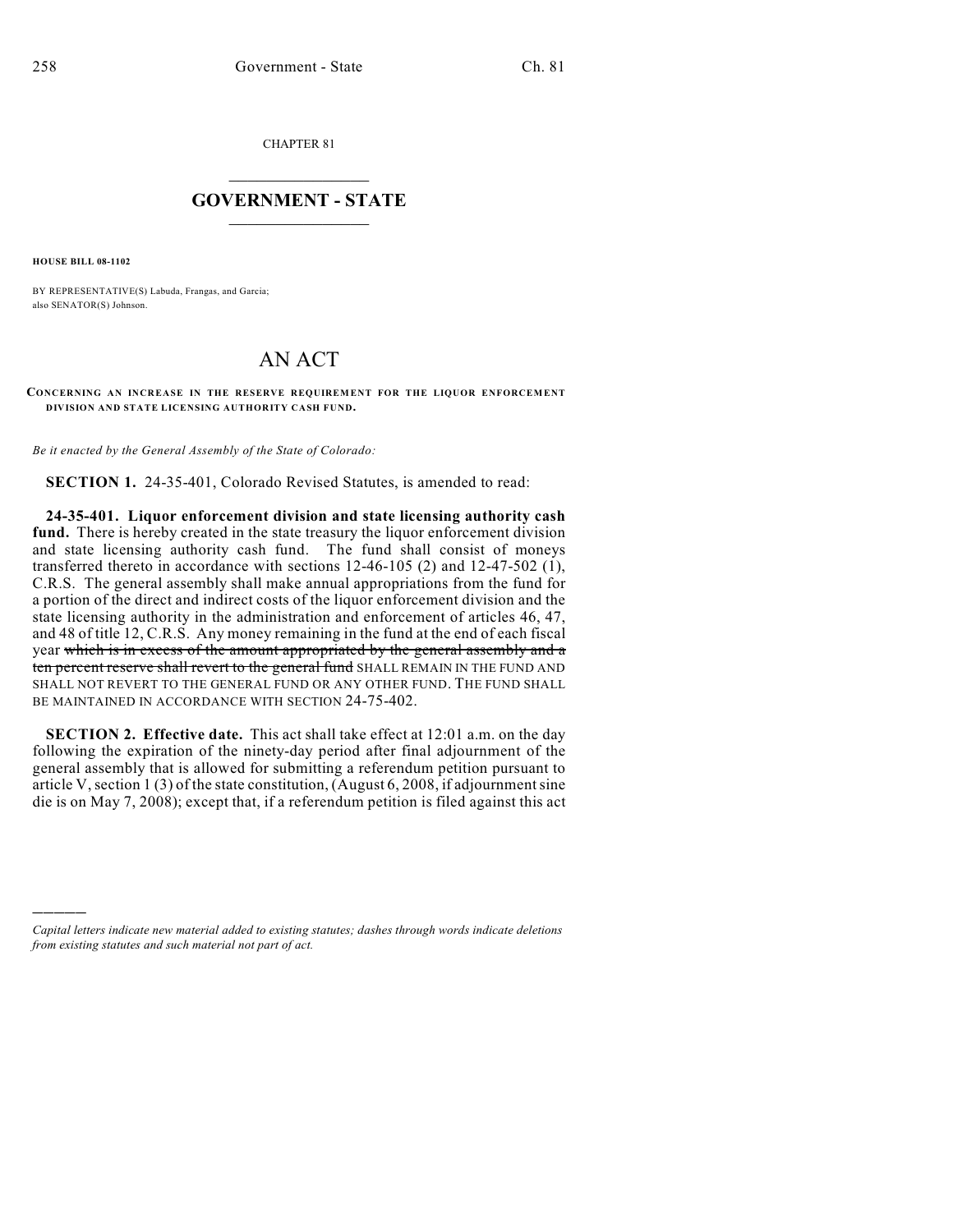CHAPTER 81

## $\mathcal{L}_\text{max}$  . The set of the set of the set of the set of the set of the set of the set of the set of the set of the set of the set of the set of the set of the set of the set of the set of the set of the set of the set **GOVERNMENT - STATE**  $\_$   $\_$

**HOUSE BILL 08-1102**

)))))

BY REPRESENTATIVE(S) Labuda, Frangas, and Garcia; also SENATOR(S) Johnson.

## AN ACT

**CONCERNING AN INCREASE IN THE RESERVE REQUIREMENT FOR THE LIQUOR ENFORCEMENT DIVISION AND STATE LICENSING AUTHORITY CASH FUND.**

*Be it enacted by the General Assembly of the State of Colorado:*

**SECTION 1.** 24-35-401, Colorado Revised Statutes, is amended to read:

**24-35-401. Liquor enforcement division and state licensing authority cash fund.** There is hereby created in the state treasury the liquor enforcement division and state licensing authority cash fund. The fund shall consist of moneys transferred thereto in accordance with sections 12-46-105 (2) and 12-47-502 (1), C.R.S. The general assembly shall make annual appropriations from the fund for a portion of the direct and indirect costs of the liquor enforcement division and the state licensing authority in the administration and enforcement of articles 46, 47, and 48 of title 12, C.R.S. Any money remaining in the fund at the end of each fiscal year which is in excess of the amount appropriated by the general assembly and a ten percent reserve shall revert to the general fund SHALL REMAIN IN THE FUND AND SHALL NOT REVERT TO THE GENERAL FUND OR ANY OTHER FUND. THE FUND SHALL BE MAINTAINED IN ACCORDANCE WITH SECTION 24-75-402.

**SECTION 2. Effective date.** This act shall take effect at 12:01 a.m. on the day following the expiration of the ninety-day period after final adjournment of the general assembly that is allowed for submitting a referendum petition pursuant to article V, section 1 (3) of the state constitution, (August 6, 2008, if adjournment sine die is on May 7, 2008); except that, if a referendum petition is filed against this act

*Capital letters indicate new material added to existing statutes; dashes through words indicate deletions from existing statutes and such material not part of act.*